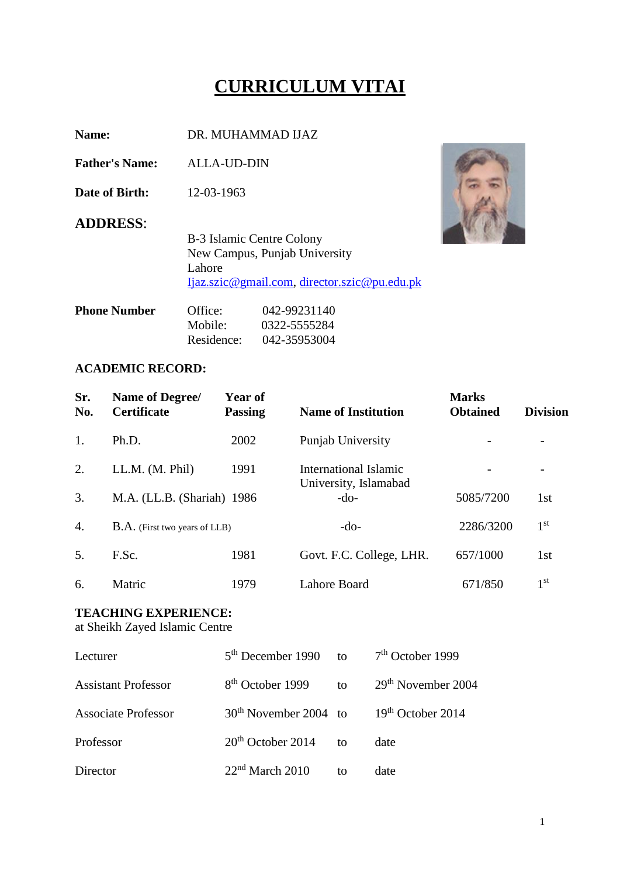# **CURRICULUM VITAI**

**Name:** DR. MUHAMMAD IJAZ

**Father's Name:** ALLA-UD-DIN

**Date of Birth:** 12-03-1963

#### **ADDRESS**:

B-3 Islamic Centre Colony New Campus, Punjab University Lahore [Ijaz.szic@gmail.com,](mailto:Ijaz.szic@gmail.com) [director.szic@pu.edu.pk](mailto:director.szic@pu.edu.pk)

| Office:    | 042-99231140 |
|------------|--------------|
| Mobile:    | 0322-5555284 |
| Residence: | 042-35953004 |
|            |              |

#### **ACADEMIC RECORD:**

| Sr.<br>No.       | Name of Degree/<br><b>Certificate</b> | <b>Year of</b><br><b>Passing</b> | <b>Name of Institution</b>      | <b>Marks</b><br><b>Obtained</b> | <b>Division</b> |
|------------------|---------------------------------------|----------------------------------|---------------------------------|---------------------------------|-----------------|
| 1.               | Ph.D.                                 | 2002                             | Punjab University               |                                 |                 |
| 2.               | LL.M. (M. Phil)                       | 1991                             | International Islamic           |                                 |                 |
| 3.               | M.A. (LL.B. (Shariah) 1986            |                                  | University, Islamabad<br>$-do-$ | 5085/7200                       | 1st             |
| $\overline{4}$ . | <b>B.A.</b> (First two years of LLB)  |                                  | $-do-$                          | 2286/3200                       | 1 <sup>st</sup> |
| 5.               | F.Sc.                                 | 1981                             | Govt. F.C. College, LHR.        | 657/1000                        | 1st             |
| 6.               | Matric                                | 1979                             | Lahore Board                    | 671/850                         | 1 <sup>st</sup> |

### **TEACHING EXPERIENCE:**

at Sheikh Zayed Islamic Centre

| Lecturer                   | $5th$ December 1990 to       |              | $7th$ October 1999             |
|----------------------------|------------------------------|--------------|--------------------------------|
| <b>Assistant Professor</b> | 8 <sup>th</sup> October 1999 | to           | 29 <sup>th</sup> November 2004 |
| <b>Associate Professor</b> | $30th$ November 2004 to      |              | $19th$ October 2014            |
| Professor                  | $20th$ October 2014          | $\mathbf{f}$ | date                           |
| Director                   | $22nd$ March 2010            | to           | date                           |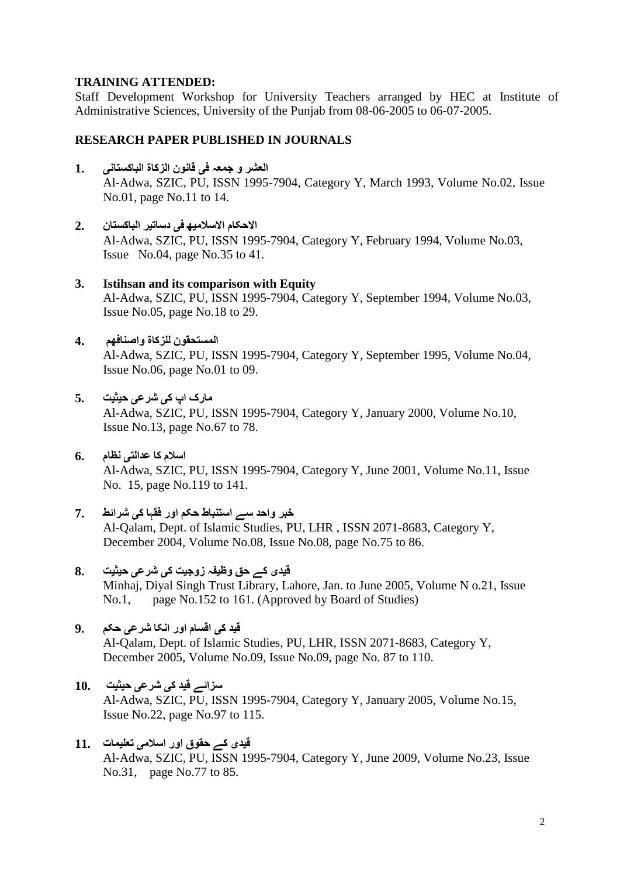### **TRAINING ATTENDED:**

Staff Development Workshop for University Teachers arranged by HEC at Institute of Administrative Sciences, University of the Punjab from 08-06-2005 to 06-07-2005.

### **RESEARCH PAPER PUBLISHED IN JOURNALS**

- **العشر و جمعہ فی قانون الزکاۃ الباکستانی 1.** Al-Adwa, SZIC, PU, ISSN 1995-7904, Category Y, March 1993, Volume No.02, Issue No.01, page No.11 to 14.
- **االحکام االسالمیھ فی دساتیر الباکستان 2.** Al-Adwa, SZIC, PU, ISSN 1995-7904, Category Y, February 1994, Volume No.03, Issue No.04, page No.35 to 41.
- **3. Istihsan and its comparison with Equity**  Al-Adwa, SZIC, PU, ISSN 1995-7904, Category Y, September 1994, Volume No.03, Issue No.05, page No.18 to 29.
- **المستحقون للزکاۃ واصنافھم 4.** Al-Adwa, SZIC, PU, ISSN 1995-7904, Category Y, September 1995, Volume No.04, Issue No.06, page No.01 to 09.
- **مارک اپ کی شرعی حیثیت 5.**

Al-Adwa, SZIC, PU, ISSN 1995-7904, Category Y, January 2000, Volume No.10, Issue No.13, page No.67 to 78.

- **اسالم کا عدالتی نظام 6.** Al-Adwa, SZIC, PU, ISSN 1995-7904, Category Y, June 2001, Volume No.11, Issue No. 15, page No.119 to 141.
- **خبر واحد سے استنباط حکم اور فقہا کی شرائط 7.** Al-Qalam, Dept. of Islamic Studies, PU, LHR , ISSN 2071-8683, Category Y, December 2004, Volume No.08, Issue No.08, page No.75 to 86.
- **قیدی کے حق وظیفہ زوجیت کی شرعی حیثیت 8.** Minhaj, Diyal Singh Trust Library, Lahore, Jan. to June 2005, Volume N o.21, Issue No.1, page No.152 to 161. (Approved by Board of Studies)
- **قید کی اقسام اور انکا شرعی حکم 9.** Al-Qalam, Dept. of Islamic Studies, PU, LHR, ISSN 2071-8683, Category Y, December 2005, Volume No.09, Issue No.09, page No. 87 to 110.
- **سزائے قید کی شرعی حیثیت 10.** Al-Adwa, SZIC, PU, ISSN 1995-7904, Category Y, January 2005, Volume No.15, Issue No.22, page No.97 to 115.
- **قیدی کے حقوق اور اسالمی تعلیمات 11.** Al-Adwa, SZIC, PU, ISSN 1995-7904, Category Y, June 2009, Volume No.23, Issue No.31, page No.77 to 85.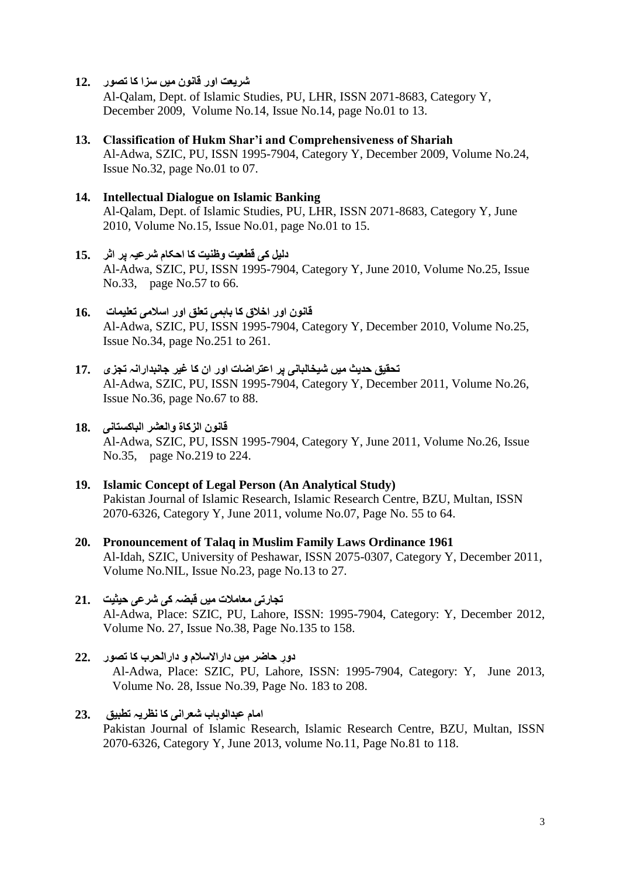**شریعت اور قانون میں سزا کا تصور 12.**

Al-Qalam, Dept. of Islamic Studies, PU, LHR, ISSN 2071-8683, Category Y, December 2009, Volume No.14, Issue No.14, page No.01 to 13.

- **13. Classification of Hukm Shar'i and Comprehensiveness of Shariah**  Al-Adwa, SZIC, PU, ISSN 1995-7904, Category Y, December 2009, Volume No.24, Issue No.32, page No.01 to 07.
- **14. Intellectual Dialogue on Islamic Banking** Al-Qalam, Dept. of Islamic Studies, PU, LHR, ISSN 2071-8683, Category Y, June 2010, Volume No.15, Issue No.01, page No.01 to 15.
- **دلیل کی قطعیت وظنیت کا احکام شرعیہ پر اثر 15.** Al-Adwa, SZIC, PU, ISSN 1995-7904, Category Y, June 2010, Volume No.25, Issue No.33, page No.57 to 66.
- **قانون اور اخالق کا باہمی تعلق اور اسالمی تعلیمات 16.** Al-Adwa, SZIC, PU, ISSN 1995-7904, Category Y, December 2010, Volume No.25, Issue No.34, page No.251 to 261.
- **تحقیق حدیث میں شیخالبانی پر اعتراضات اور ان کا غیر جانبدارانہ تجزی 17.** Al-Adwa, SZIC, PU, ISSN 1995-7904, Category Y, December 2011, Volume No.26, Issue No.36, page No.67 to 88.
- **قانون الزکاۃ والعشر الباکستانی 18.** Al-Adwa, SZIC, PU, ISSN 1995-7904, Category Y, June 2011, Volume No.26, Issue No.35, page No.219 to 224.
- **19. Islamic Concept of Legal Person (An Analytical Study)** Pakistan Journal of Islamic Research, Islamic Research Centre, BZU, Multan, ISSN 2070-6326, Category Y, June 2011, volume No.07, Page No. 55 to 64.
- **20. Pronouncement of Talaq in Muslim Family Laws Ordinance 1961**  Al-Idah, SZIC, University of Peshawar, ISSN 2075-0307, Category Y, December 2011, Volume No.NIL, Issue No.23, page No.13 to 27.
- **تجارتی معامالت میں قبضہ کی شرعی حیثیت 21.** Al-Adwa, Place: SZIC, PU, Lahore, ISSN: 1995-7904, Category: Y, December 2012, Volume No. 27, Issue No.38, Page No.135 to 158.
- **دوِر حاضر میں داراالسالم و دارالحرب کا تصور 22.** Al-Adwa, Place: SZIC, PU, Lahore, ISSN: 1995-7904, Category: Y, June 2013, Volume No. 28, Issue No.39, Page No. 183 to 208.
- **امام عبدالوہاب شعرانی کا نظریہ تطبیق 23.** Pakistan Journal of Islamic Research, Islamic Research Centre, BZU, Multan, ISSN 2070-6326, Category Y, June 2013, volume No.11, Page No.81 to 118.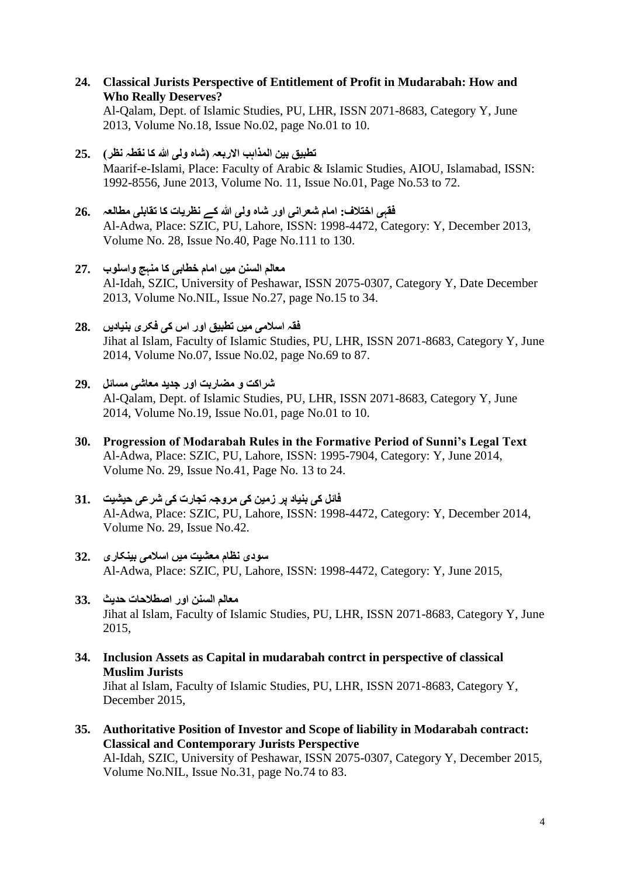**24. Classical Jurists Perspective of Entitlement of Profit in Mudarabah: How and Who Really Deserves?**

Al-Qalam, Dept. of Islamic Studies, PU, LHR, ISSN 2071-8683, Category Y, June 2013, Volume No.18, Issue No.02, page No.01 to 10.

- **تطبیق بین المذاہب االربعہ )شاہ ولی ہللا کا نقطہ نظر( 25.** Maarif-e-Islami, Place: Faculty of Arabic & Islamic Studies, AIOU, Islamabad, ISSN: 1992-8556, June 2013, Volume No. 11, Issue No.01, Page No.53 to 72.
- **فقہی اختالف: امام شعرانی اور شاہ ولی ہللا کے نظریات کا تقابلی مطالعہ 26.** Al-Adwa, Place: SZIC, PU, Lahore, ISSN: 1998-4472, Category: Y, December 2013, Volume No. 28, Issue No.40, Page No.111 to 130.
- **معالم السنن میں امام خطابی کا منہج واسلوب 27.** Al-Idah, SZIC, University of Peshawar, ISSN 2075-0307, Category Y, Date December 2013, Volume No.NIL, Issue No.27, page No.15 to 34.
- **فقہ اسالمی میں تطبیق اور اس کی فکری بنیادیں 28.** Jihat al Islam, Faculty of Islamic Studies, PU, LHR, ISSN 2071-8683, Category Y, June 2014, Volume No.07, Issue No.02, page No.69 to 87.
- **شراکت و مضاربت اور جدید معاشی مسائل 29.** Al-Qalam, Dept. of Islamic Studies, PU, LHR, ISSN 2071-8683, Category Y, June 2014, Volume No.19, Issue No.01, page No.01 to 10.
- **30. Progression of Modarabah Rules in the Formative Period of Sunni's Legal Text** Al-Adwa, Place: SZIC, PU, Lahore, ISSN: 1995-7904, Category: Y, June 2014, Volume No. 29, Issue No.41, Page No. 13 to 24.
- **فائل کی بنیاد پر زمین کی مروجہ تجارت کی شرعی حیشیت 31.** Al-Adwa, Place: SZIC, PU, Lahore, ISSN: 1998-4472, Category: Y, December 2014, Volume No. 29, Issue No.42.
- **سودی نظام معشیت میں اسالمی بینکاری 32.** Al-Adwa, Place: SZIC, PU, Lahore, ISSN: 1998-4472, Category: Y, June 2015,
- **معالم السنن اور اصطالحات حدیث 33.** Jihat al Islam, Faculty of Islamic Studies, PU, LHR, ISSN 2071-8683, Category Y, June 2015,
- **34. Inclusion Assets as Capital in mudarabah contrct in perspective of classical Muslim Jurists** Jihat al Islam, Faculty of Islamic Studies, PU, LHR, ISSN 2071-8683, Category Y, December 2015,
- **35. [Authoritative Position of Investor and Scope of liability in Modarabah contract:](http://www.szic.pk/journal/dec2015/5.pdf)  [Classical and Contemporary Jurists Perspective](http://www.szic.pk/journal/dec2015/5.pdf)** Al-Idah, SZIC, University of Peshawar, ISSN 2075-0307, Category Y, December 2015, Volume No.NIL, Issue No.31, page No.74 to 83.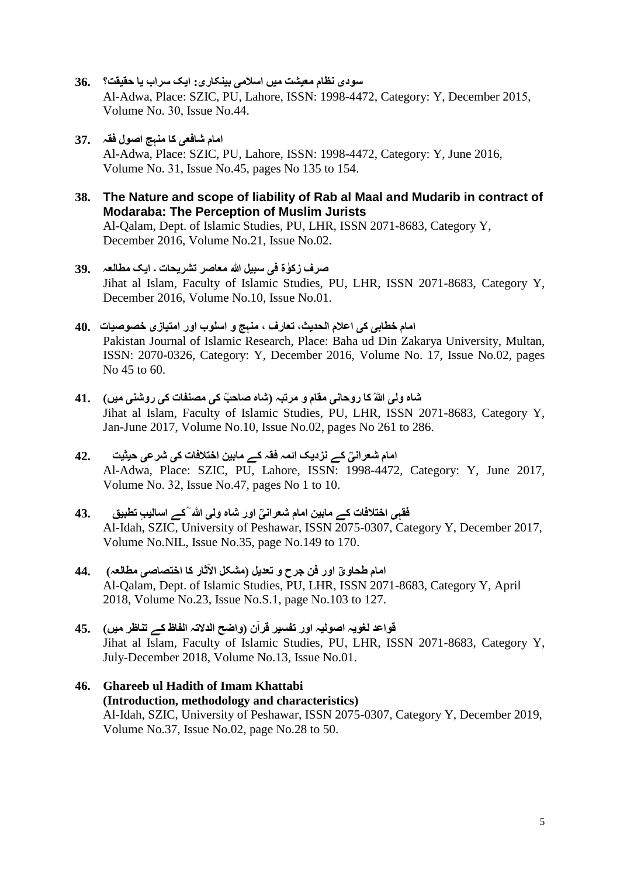- **سودی نظام معیشت میں اسالمی بینکاری: ایک سراب یا حقیقت؟ 36.** Al-Adwa, Place: SZIC, PU, Lahore, ISSN: 1998-4472, Category: Y, December 2015, Volume No. 30, Issue No. 44.
- **امام شافعی کا منہج اصول فقہ 37.** Al-Adwa, Place: SZIC, PU, Lahore, ISSN: 1998-4472, Category: Y, June 2016, Volume No. 01, Issue No.45, pages No 135 to 154.
- **38. The Nature and scope of liability of Rab al Maal and Mudarib in contract of Modaraba: The Perception of Muslim Jurists** Al-Qalam, Dept. of Islamic Studies, PU, LHR, ISSN 2071-8683, Category Y, December 2016, Volume No.21, Issue No.02.
- **صرف زکٰوۃ فی سبیل ہللا معاصر تشریحات ۔ ایک مطالعہ 39.** Jihat al Islam, Faculty of Islamic Studies, PU, LHR, ISSN 2071-8683, Category Y, December 2016, Volume No.10, Issue No.01.
- **امام خطابی کی اعالم الحدیث، تعارف ، منہج و اسلوب اور امتیازی خصوصیات 40.** Pakistan Journal of Islamic Research, Place: Baha ud Din Zakarya University, Multan, ISSN: 2070-0326, Category: Y, December 2016, Volume No. 17, Issue No.02, pages No 45 to 60.
- **شاہ ولی ؒہللا کا روحانی مقام و مرتبہ )شاہ صاحؒب کی مصنفات کی روشنی میں( 41.** Jihat al Islam, Faculty of Islamic Studies, PU, LHR, ISSN 2071-8683, Category Y, Jan-June 2017, Volume No.10, Issue No.02, pages No 261 to 286.
- **ؒی کے نزدیک ائمہ فقہ کے مابین اختالفات کی شرعی حیثیت 42. امام شعران** Al-Adwa, Place: SZIC, PU, Lahore, ISSN: 1998-4472, Category: Y, June 2017, Volume No. 32, Issue No. 47, pages No  $1$  to  $10$ .
- **ؒی اور شاہ ولی ہللاؒ کے اسالی ِب تطبیق 43. فقہی اختالفات کے مابین امام شعران** Al-Idah, SZIC, University of Peshawar, ISSN 2075-0307, Category Y, December 2017, Volume No.NIL, Issue No.35, page No.149 to 170.
- **امام طحاوؒی اور فن جرح و تعدیل )مشکل ا ٓالثار کا اختصاصی مطالعہ( 44.** Al-Qalam, Dept. of Islamic Studies, PU, LHR, ISSN 2071-8683, Category Y, April 2018, Volume No.23, Issue No.S.1, page No.103 to 127.
- **قواعد لغویہ اصولیہ اور تفسیر قرآن )واضح الدالتہ الفاظ کے تناظر میں( 45.** Jihat al Islam, Faculty of Islamic Studies, PU, LHR, ISSN 2071-8683, Category Y, July-December 2018, Volume No.13, Issue No.01.
- **46. Ghareeb ul Hadith of Imam Khattabi (Introduction, methodology and characteristics)** Al-Idah, SZIC, University of Peshawar, ISSN 2075-0307, Category Y, December 2019, Volume No.37, Issue No.02, page No.28 to 50.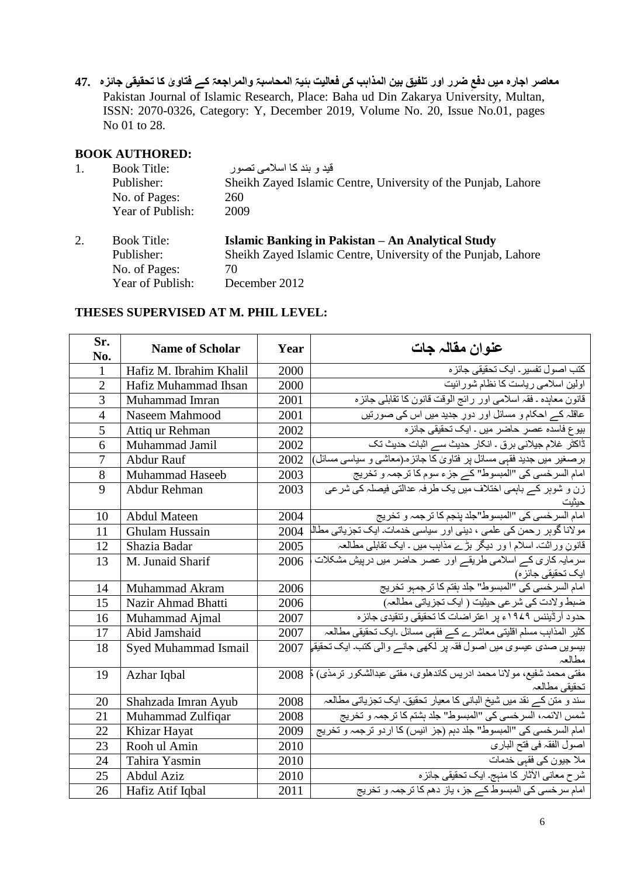معاصر اجاره ميں دفع ضرر اور تلفيق بين المذاہب كى فعاليت ہئيۃ المحاسبۃ والمراجعۃ كے فتاوىٰ كا تحقيقى جائزہ 47 Pakistan Journal of Islamic Research, Place: Baha ud Din Zakarya University, Multan, ISSN: 2070-0326, Category: Y, December 2019, Volume No. 20, Issue No.01, pages No 01 to 28.

### **BOOK AUTHORED:**

| 1. | <b>Book Title:</b> | قید و بند کا اسلامے تصور                                      |
|----|--------------------|---------------------------------------------------------------|
|    | Publisher:         | Sheikh Zayed Islamic Centre, University of the Punjab, Lahore |
|    | No. of Pages:      | 260                                                           |
|    | Year of Publish:   | 2009                                                          |
| 2. | <b>Book Title:</b> | Islamic Banking in Pakistan – An Analytical Study             |
|    |                    |                                                               |
|    | Publisher:         | Sheikh Zayed Islamic Centre, University of the Punjab, Lahore |
|    | No. of Pages:      | 70                                                            |

#### **THESES SUPERVISED AT M. PHIL LEVEL:**

| Sr.<br>No.     | <b>Name of Scholar</b>  | Year | عنوان مقالہ جات                                                                                 |
|----------------|-------------------------|------|-------------------------------------------------------------------------------------------------|
| 1              | Hafiz M. Ibrahim Khalil | 2000 | کتب اصول تفسیر ـ ایک تحقیقی جائز ہ                                                              |
| $\overline{2}$ | Hafiz Muhammad Ihsan    | 2000 | اولین اسلامی ریاست کا نظام شور ائیت                                                             |
| 3              | Muhammad Imran          | 2001 | قانون معاہدہ ـ فقہ اسلامی اور رائج الوقت قانون کا تقابلی جائزہ                                  |
| $\overline{4}$ | Naseem Mahmood          | 2001 | عاقلہ کے احکام و مسائل اور دورِ جدید میں اس کی صورتیں                                           |
| 5              | Attiq ur Rehman         | 2002 | بیوع فاسده عصرِ حاضر میں ـ ایک تحقیقی جائز ہ                                                    |
| 6              | Muhammad Jamil          | 2002 | ڈاکٹر غلام جیلانی برق ۔ انکار حدیث سے اثبات حدیث تک                                             |
| 7              | Abdur Rauf              | 2002 | برصغیر میں جدید فقہی مسائل پر فناویٰ کا جائز ہ (معاشی و سیاسی مسائل)                            |
| 8              | Muhammad Haseeb         | 2003 | امام السرخسي كي "المبسوط" كے جزء سوم كا ترجمہ و تخريج                                           |
| 9              | Abdur Rehman            | 2003 | زن و شوہر کے باہمی اختلاف میں یک طرفہ عدالتی فیصلہ کی شرعی                                      |
| 10             | <b>Abdul Mateen</b>     | 2004 | امام السرخسي كي "المبسوط"جلد ينجم كا ترجمہ و تخريج                                              |
| 11             | Ghulam Hussain          | 2004 | مولانا گوہر رحمن کی عل <i>می ،</i> دینی اور سیاسی خدمات ایک نجزیاتی مطال                        |
| 12             | Shazia Badar            | 2005 | قانونِ وراثت اسلام ا ور دیگر بڑے مذاہب میں ۔ ایک تقابلی مطالعہ                                  |
| 13             | M. Junaid Sharif        | 2006 | سرمایہ کاری کے اسلامی طریقے اور عصر حاضر میں درپیش مشکلات<br>ایک تحقیقی جائز ہ)                 |
| 14             | Muhammad Akram          | 2006 | امام السرخسي كي "المبسوط" جلد بفتم كا ترجمهو تخريج                                              |
| 15             | Nazir Ahmad Bhatti      | 2006 | ضبط ولادت كي شرعي حيثيت ( ايك تجزياتي مطالعہ)                                                   |
| 16             | Muhammad Ajmal          | 2007 | حدود آر ڈیننس ۱۹۷۹ء پر اعتر اضات کا تحقیقی وتنقیدی جائز ہ                                       |
| 17             | Abid Jamshaid           | 2007 | کثیر المذاہب مسلم اقلیتی معاشرے کے فقہی مسائل ۔ایک تحقیقی مطالعہ                                |
| 18             | Syed Muhammad Ismail    | 2007 | بیسویں صد <i>ی</i> عیسوی میں اصول فقہ پر لکھی جانے والی کتب۔ ایک تحقیق <mark>ے</mark><br>مطالعہ |
| 19             | Azhar Iqbal             |      | مفتـي محمد شفيع، مولانا محمد ادريس كاندهلوي، مفتـي عبدالشكور ترمذي) لم 2008<br>تحقيقي مطالعہ    |
| 20             | Shahzada Imran Ayub     | 2008 | سند و متن کے نقد میں شیخ البانی کا معیار تحقیق ایک تجزیاتی مطالعہ                               |
| 21             | Muhammad Zulfiqar       | 2008 | شمس الائمہ، السرخسي كي "المبسوط" جلد بشتم كا ترجمہ و تخريج                                      |
| 22             | Khizar Hayat            | 2009 | امام السرخسي كي "المبسوط" جلد دہم (جز انيس) كا اردو ترجمہ و تخريج                               |
| 23             | Rooh ul Amin            | 2010 | اصول الفقہ في فتح الباري                                                                        |
| 24             | Tahira Yasmin           | 2010 | ملا جیون کی فقہی خدمات                                                                          |
| 25             | Abdul Aziz              | 2010 | شرح معانی الآثار کا منہج۔ ایک تحقیقی جائز ہ                                                     |
| 26             | Hafiz Atif Iqbal        | 2011 | امام سرخسی کی المبسوط کے جز ، یاز دھم کا ترج <i>مہ</i> و تخریج                                  |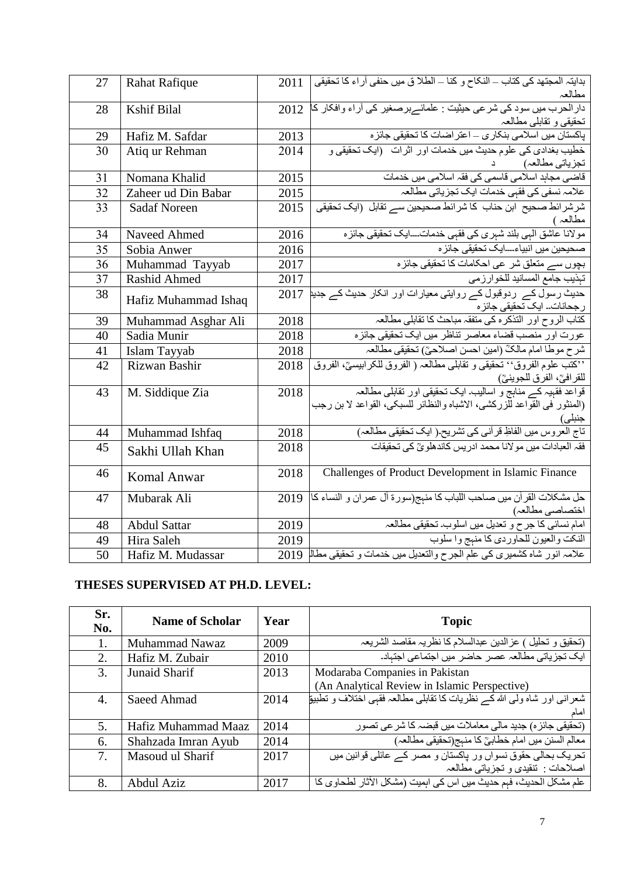| 27 | <b>Rahat Rafique</b> | 2011 | بدايتہ المجتهد كى كتاب – النكاح و كنا – الطلا ق ميں حنفى آراء كا تحقيقى  <br>مطالعہ       |
|----|----------------------|------|-------------------------------------------------------------------------------------------|
| 28 | <b>Kshif Bilal</b>   | 2012 | دار الحرب میں سود کی شر عی حیثیت : علمائے برصغیر کی آراء وافکار کا                        |
|    |                      |      | تحقيقي و تقابلي مطالعہ                                                                    |
| 29 | Hafiz M. Safdar      | 2013 | بِاکستان میں اسلامی بنکاری – اعتر اضات کا تحقیقی جائز ہ                                   |
| 30 | Atiq ur Rehman       | 2014 | خطیب بغدادی کی علوم حدیث میں خدمات اور اثرات (ایک تحقیقی و                                |
|    |                      |      | تجزياتي مطالعہ)                                                                           |
| 31 | Nomana Khalid        | 2015 | قاضی مجاہد اسلامی قاسمی کی فقہ اسلامی میں خدمات                                           |
| 32 | Zaheer ud Din Babar  | 2015 | علامہ نسفی کی فقہی خدمات ایک تجزیاتی مطالعہ                                               |
| 33 | <b>Sadaf Noreen</b>  | 2015 | شرشر ائط صحیح ابن حناب کا شرائط صحیحین سے تقابل (ایک تحقیقی                               |
|    |                      |      | مطالعہ )                                                                                  |
| 34 | Naveed Ahmed         | 2016 | مولاناً عاشق الٰہی بلند شہری کی فقہی خدمات۔۔۔ایک تحقیقی جائزہ                             |
| 35 | Sobia Anwer          | 2016 | صحيحين ميں انبياء۔۔۔ايک تحقيقي جائز ہ                                                     |
| 36 | Muhammad Tayyab      | 2017 | بچوں سے متعلق شر عی احکامات کا تحقیقی جائزہ                                               |
| 37 | Rashid Ahmed         | 2017 | تبذيب جامع المسانيد للخوارزمي                                                             |
| 38 | Hafiz Muhammad Ishaq | 2017 | حدیث رسول کے  ردوقبول کے روایتی معیارات اور  انکار حدیث کے جدیا                           |
|    |                      |      | ر جحانات۔ ایک تحقیقی جائز ہ                                                               |
| 39 | Muhammad Asghar Ali  | 2018 | كتاب الروح اور التذكره كي متفقہ مباحث كا تقابلي مطالعہ                                    |
| 40 | Sadia Munir          | 2018 | عورت اور منصب قضاء معاصر تناظر میں ایک تحقیقی جائزہ                                       |
| 41 | Islam Tayyab         | 2018 | شرح موطا امام مالكّ (امين احسن اصلاحيّ) تحقيقي مطالعہ                                     |
| 42 | Rizwan Bashir        | 2018 | ''كتب علوم الفروق'' تحقيقي و تقابلي مطالعہ ( الفروق للكر ابيسيِّ، الفروق                  |
|    |                      |      | للقرافيَّ، الفرق للجوينيَّ)<br>قواعد فقهيہ کے منابج و اساليب ايک نحقيقي اور تقابلي مطالعہ |
| 43 | M. Siddique Zia      | 2018 |                                                                                           |
|    |                      |      | (المنثور في القواعد للزركشي، الاشباه والنظائر للسبكي، القواعد لا بن رجب                   |
| 44 | Muhammad Ishfaq      | 2018 | جنبلی)<br>تاج العروس ميں الفاظِ قرآني کي تشريح ( ايک تحقيقي مطالعہ)                       |
| 45 |                      | 2018 | فقہ العبادات میں مولانا محمد ادر پس کاندھلو یؒ کی تحقیقات                                 |
|    | Sakhi Ullah Khan     |      |                                                                                           |
| 46 | <b>Komal Anwar</b>   | 2018 | Challenges of Product Development in Islamic Finance                                      |
|    |                      |      |                                                                                           |
| 47 | Mubarak Ali          | 2019 | حل مشكلات القرآن ميں صاحب اللباب كا منہج(سورۃ آل عمران و النساء كا                        |
|    |                      |      | اختصاصي مطالعہ)<br>امام نسائي كا جرح و تعديل ميں اسلوب تحقيقي مطالعہ                      |
| 48 | <b>Abdul Sattar</b>  | 2019 |                                                                                           |
| 49 | Hira Saleh           | 2019 | النكت والعيون للحاوردي كا منهج وا سلوب                                                    |
| 50 | Hafiz M. Mudassar    |      | علامہ انور شاہ كشميري كي علم الجرح والتعديل ميں خدمات و تحقيقي مطالم 2019                 |

# **THESES SUPERVISED AT PH.D. LEVEL:**

| Sr.<br>No.       | <b>Name of Scholar</b> | Year | <b>Topic</b>                                                                             |
|------------------|------------------------|------|------------------------------------------------------------------------------------------|
| 1.               | Muhammad Nawaz         | 2009 | (تحقيق و تحليل ) عزالدين عبدالسلام كا نظريہ مقاصد الشريعہ                                |
| 2.               | Hafiz M. Zubair        | 2010 | ایک تجزیاتی مطالعہ عصر حاضر میں اجتماعی اجتباد۔                                          |
| 3.               | <b>Junaid Sharif</b>   | 2013 | Modaraba Companies in Pakistan                                                           |
|                  |                        |      | (An Analytical Review in Islamic Perspective)                                            |
| $\overline{4}$ . | Saeed Ahmad            | 2014 | شعرانی اور شاه ولی الله کـــر نظریات کا نقابلی مطالعہ فقبی اختلاف و تطبیق <mark>ا</mark> |
|                  |                        |      | اماد                                                                                     |
| 5.               | Hafiz Muhammad Maaz    | 2014 | (تحقیقی جائز ہ) جدید مالی معاملات میں قبضہ کا شر عی تصور                                 |
| 6.               | Shahzada Imran Ayub    | 2014 | معالم السنن ميں امام خطابيؒ كا منہج(تحقيقى مطالعہ)                                       |
| 7.               | Masoud ul Sharif       | 2017 | تحریک بحالی حقوق نسواں ور پاکستان و مصر کے عائلی قوانین میں                              |
|                  |                        |      | اصلاحات : تنقيدي و تجزياتي مطالعہ                                                        |
| 8.               | Abdul Aziz             | 2017 | علم مشكل الحديث، فهم حديث ميں اس كى اہميت (مشكل الآثار لطحاوى كا                         |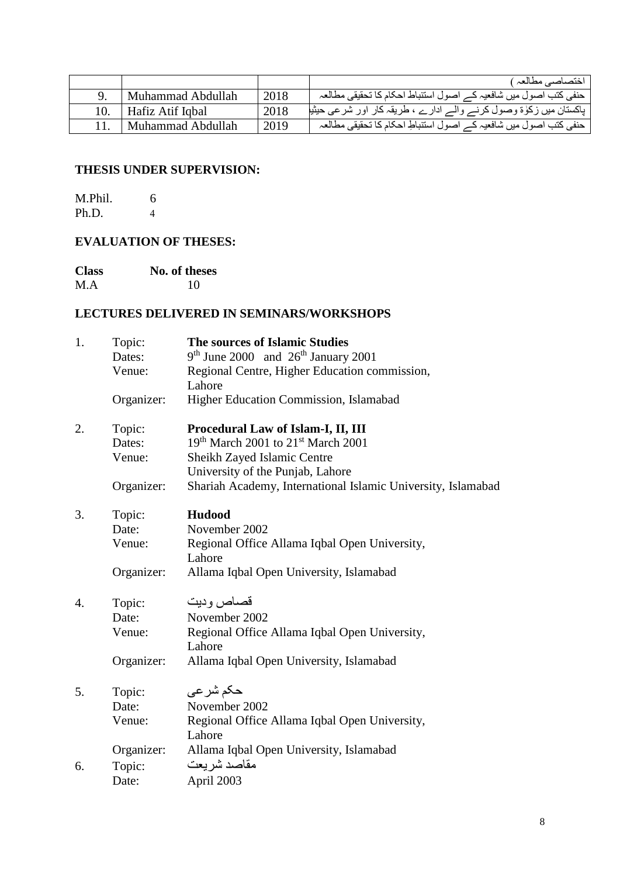|     |                   |      | اختصاصي مطالعہ )                                                   |
|-----|-------------------|------|--------------------------------------------------------------------|
|     | Muhammad Abdullah | 2018 | حنفي كتب اصول ميں شافعيہ كـــر اصول استنباط احكام كا تحقيقي مطالعہ |
| 10. | Hafiz Atif Igbal  | 2018 | پاکستان میں زکلوٰۃ وصول کرنے والے ادارے ، طریقہ کار اور شرعی حیثیا |
|     | Muhammad Abdullah | 2019 | حنفی کتب اصول میں شافعیہ کے اصول استنباطِ احکام کا تحقیقی مطالعہ   |

# **THESIS UNDER SUPERVISION:**

| M.Phil. | 6 |
|---------|---|
| Ph.D.   |   |

# **EVALUATION OF THESES:**

| <b>Class</b> | No. of theses |
|--------------|---------------|
| M.A          | 10            |

### **LECTURES DELIVERED IN SEMINARS/WORKSHOPS**

| 1. | Topic:     | <b>The sources of Islamic Studies</b>                        |
|----|------------|--------------------------------------------------------------|
|    | Dates:     | $9th$ June 2000 and $26th$ January 2001                      |
|    | Venue:     | Regional Centre, Higher Education commission,                |
|    |            | Lahore                                                       |
|    | Organizer: | Higher Education Commission, Islamabad                       |
| 2. | Topic:     | Procedural Law of Islam-I, II, III                           |
|    | Dates:     | 19th March 2001 to 21st March 2001                           |
|    | Venue:     | Sheikh Zayed Islamic Centre                                  |
|    |            | University of the Punjab, Lahore                             |
|    | Organizer: | Shariah Academy, International Islamic University, Islamabad |
| 3. | Topic:     | <b>Hudood</b>                                                |
|    | Date:      | November 2002                                                |
|    | Venue:     | Regional Office Allama Iqbal Open University,                |
|    |            | Lahore                                                       |
|    | Organizer: | Allama Iqbal Open University, Islamabad                      |
| 4. | Topic:     | قصاص وديت                                                    |
|    | Date:      | November 2002                                                |
|    | Venue:     | Regional Office Allama Iqbal Open University,                |
|    |            | Lahore                                                       |
|    | Organizer: | Allama Iqbal Open University, Islamabad                      |
| 5. | Topic:     | حکم شر عی                                                    |
|    | Date:      | November 2002                                                |
|    | Venue:     | Regional Office Allama Iqbal Open University,                |
|    |            | Lahore                                                       |
|    | Organizer: | Allama Iqbal Open University, Islamabad                      |
| 6. | Topic:     | مقاصد شريعت                                                  |
|    | Date:      | April 2003                                                   |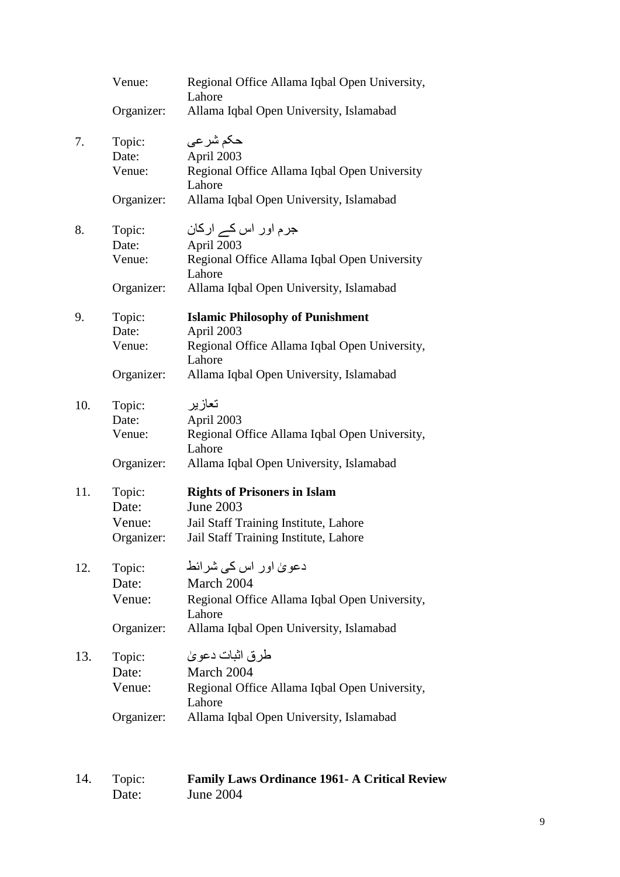|     | Venue:     | Regional Office Allama Iqbal Open University,<br>Lahore |
|-----|------------|---------------------------------------------------------|
|     | Organizer: | Allama Iqbal Open University, Islamabad                 |
| 7.  | Topic:     | حکم شر عی                                               |
|     | Date:      | April 2003                                              |
|     | Venue:     | Regional Office Allama Iqbal Open University<br>Lahore  |
|     | Organizer: | Allama Iqbal Open University, Islamabad                 |
| 8.  | Topic:     | جرم اور اس کے ارکان                                     |
|     | Date:      | April 2003                                              |
|     | Venue:     | Regional Office Allama Iqbal Open University<br>Lahore  |
|     | Organizer: | Allama Iqbal Open University, Islamabad                 |
| 9.  | Topic:     | <b>Islamic Philosophy of Punishment</b>                 |
|     | Date:      | April 2003                                              |
|     | Venue:     | Regional Office Allama Iqbal Open University,<br>Lahore |
|     | Organizer: | Allama Iqbal Open University, Islamabad                 |
| 10. | Topic:     | تعازير                                                  |
|     | Date:      | April 2003                                              |
|     | Venue:     | Regional Office Allama Iqbal Open University,<br>Lahore |
|     | Organizer: | Allama Iqbal Open University, Islamabad                 |
| 11. | Topic:     | <b>Rights of Prisoners in Islam</b>                     |
|     | Date:      | June 2003                                               |
|     | Venue:     | Jail Staff Training Institute, Lahore                   |
|     | Organizer: | Jail Staff Training Institute, Lahore                   |
| 12. | Topic:     | دعویٰ اور اس کی شرائط                                   |
|     | Date:      | March 2004                                              |
|     | Venue:     | Regional Office Allama Iqbal Open University,<br>Lahore |
|     | Organizer: | Allama Iqbal Open University, Islamabad                 |
| 13. | Topic:     | طر ق اثبات دعو يٰ                                       |
|     | Date:      | March 2004                                              |
|     | Venue:     | Regional Office Allama Iqbal Open University,           |
|     | Organizer: | Lahore<br>Allama Iqbal Open University, Islamabad       |

| 14. | Topic: | <b>Family Laws Ordinance 1961- A Critical Review</b> |
|-----|--------|------------------------------------------------------|
|     | Date:  | <b>June 2004</b>                                     |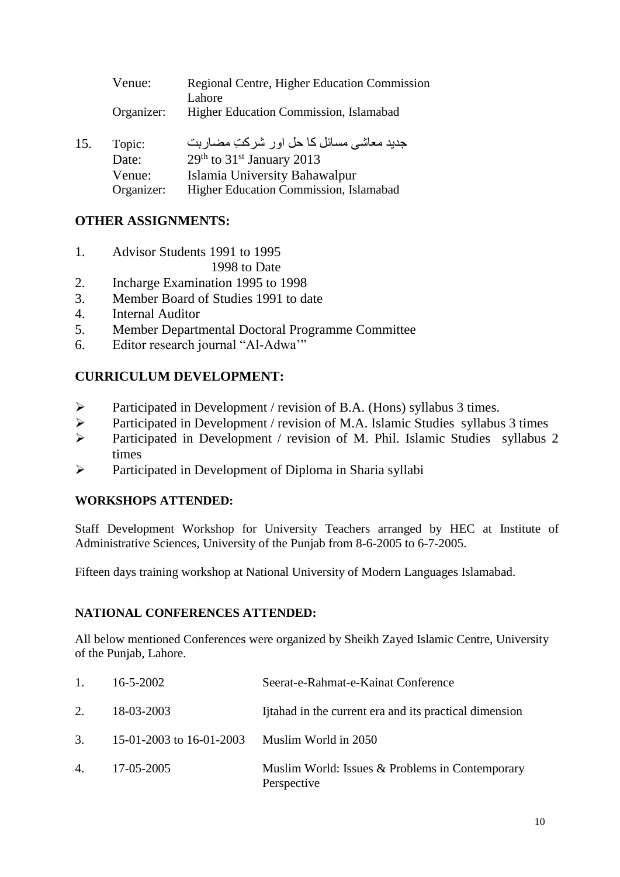|     | Venue:          | Regional Centre, Higher Education Commission<br>Lahore                             |
|-----|-----------------|------------------------------------------------------------------------------------|
|     | Organizer:      | Higher Education Commission, Islamabad                                             |
| 15. | Topic:<br>Date: | جدید معاشی مسائل کا حل اور شرکتِ مضاربت<br>$29th$ to 31 <sup>st</sup> January 2013 |

| Date:      | $29th$ to 31 <sup>st</sup> January 2013 |
|------------|-----------------------------------------|
| Venue:     | Islamia University Bahawalpur           |
| Organizer: | Higher Education Commission, Islamabad  |

# **OTHER ASSIGNMENTS:**

1. Advisor Students 1991 to 1995

1998 to Date

- 2. Incharge Examination 1995 to 1998
- 3. Member Board of Studies 1991 to date
- 4. Internal Auditor
- 5. Member Departmental Doctoral Programme Committee
- 6. Editor research journal "Al-Adwa'"

# **CURRICULUM DEVELOPMENT:**

- Participated in Development / revision of B.A. (Hons) syllabus 3 times.
- Participated in Development / revision of M.A. Islamic Studies syllabus 3 times
- Participated in Development / revision of M. Phil. Islamic Studies syllabus 2 times
- $\triangleright$  Participated in Development of Diploma in Sharia syllabi

# **WORKSHOPS ATTENDED:**

Staff Development Workshop for University Teachers arranged by HEC at Institute of Administrative Sciences, University of the Punjab from 8-6-2005 to 6-7-2005.

Fifteen days training workshop at National University of Modern Languages Islamabad.

# **NATIONAL CONFERENCES ATTENDED:**

All below mentioned Conferences were organized by Sheikh Zayed Islamic Centre, University of the Punjab, Lahore.

| $\mathbf{1}$ . | 16-5-2002                       | Seerat-e-Rahmat-e-Kainat Conference                            |
|----------------|---------------------------------|----------------------------------------------------------------|
| 2.             | 18-03-2003                      | I ftahad in the current era and its practical dimension        |
|                | 3. $15-01-2003$ to $16-01-2003$ | Muslim World in 2050                                           |
|                | 4. 17-05-2005                   | Muslim World: Issues & Problems in Contemporary<br>Perspective |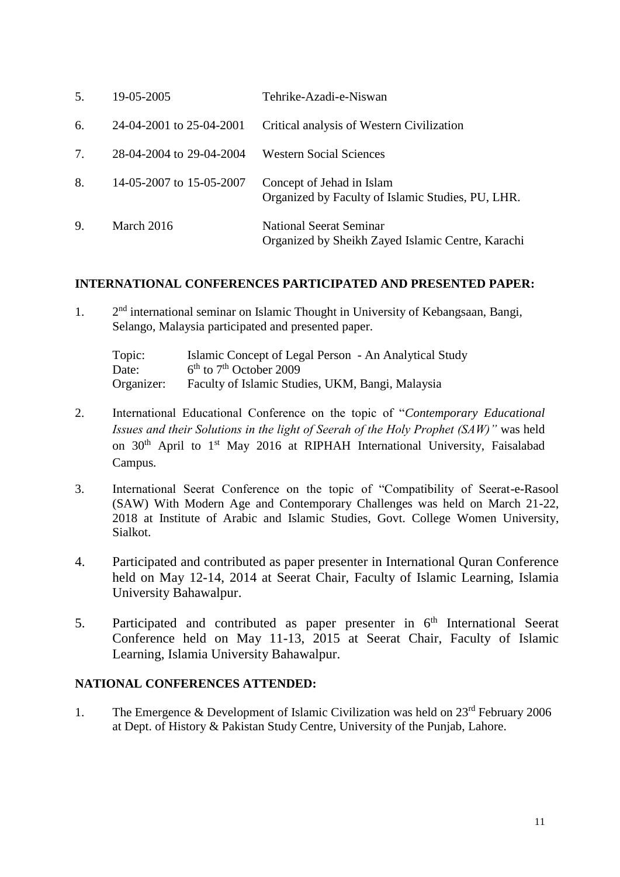| 5. | 19-05-2005               | Tehrike-Azadi-e-Niswan                                                         |
|----|--------------------------|--------------------------------------------------------------------------------|
| 6. | 24-04-2001 to 25-04-2001 | Critical analysis of Western Civilization                                      |
| 7. | 28-04-2004 to 29-04-2004 | <b>Western Social Sciences</b>                                                 |
| 8. | 14-05-2007 to 15-05-2007 | Concept of Jehad in Islam<br>Organized by Faculty of Islamic Studies, PU, LHR. |
| 9. | March 2016               | National Seerat Seminar<br>Organized by Sheikh Zayed Islamic Centre, Karachi   |

#### **INTERNATIONAL CONFERENCES PARTICIPATED AND PRESENTED PAPER:**

1. 2  $2<sup>nd</sup>$  international seminar on Islamic Thought in University of Kebangsaan, Bangi, Selango, Malaysia participated and presented paper.

Topic: Islamic Concept of Legal Person - An Analytical Study Date:  $6<sup>th</sup>$  to  $7<sup>th</sup>$  October 2009 Organizer: Faculty of Islamic Studies, UKM, Bangi, Malaysia

- 2. International Educational Conference on the topic of "*Contemporary Educational Issues and their Solutions in the light of Seerah of the Holy Prophet (SAW)"* was held on 30<sup>th</sup> April to 1<sup>st</sup> May 2016 at RIPHAH International University, Faisalabad Campus*.*
- 3. International Seerat Conference on the topic of "Compatibility of Seerat-e-Rasool (SAW) With Modern Age and Contemporary Challenges was held on March 21-22, 2018 at Institute of Arabic and Islamic Studies, Govt. College Women University, Sialkot.
- 4. Participated and contributed as paper presenter in International Quran Conference held on May 12-14, 2014 at Seerat Chair, Faculty of Islamic Learning, Islamia University Bahawalpur.
- 5. Participated and contributed as paper presenter in  $6<sup>th</sup>$  International Seerat Conference held on May 11-13, 2015 at Seerat Chair, Faculty of Islamic Learning, Islamia University Bahawalpur.

#### **NATIONAL CONFERENCES ATTENDED:**

1. The Emergence  $\&$  Development of Islamic Civilization was held on  $23<sup>rd</sup>$  February 2006 at Dept. of History & Pakistan Study Centre, University of the Punjab, Lahore.